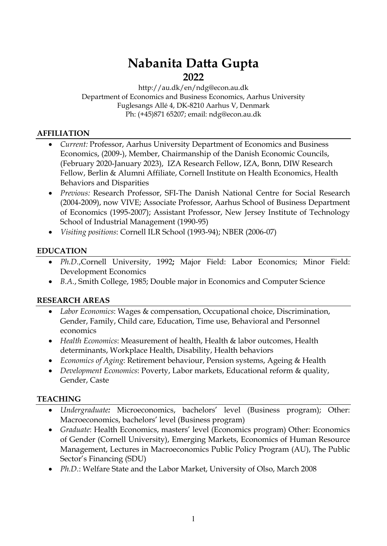# **Nabanita Datta Gupta 2022**

#### http://au.dk/en/ndg@econ.au.dk Department of Economics and Business Economics, Aarhus University Fuglesangs Allé 4, DK-8210 Aarhus V, Denmark Ph: (+45)871 65207; email: ndg@econ.au.dk

#### **AFFILIATION**

- *Current:* Professor, Aarhus University Department of Economics and Business Economics, (2009-), Member, Chairmanship of the Danish Economic Councils, (February 2020-January 2023), IZA Research Fellow, IZA, Bonn, DIW Research Fellow, Berlin & Alumni Affiliate, Cornell Institute on Health Economics, Health Behaviors and Disparities
- *Previous:* Research Professor, SFI-The Danish National Centre for Social Research (2004-2009), now VIVE; Associate Professor, Aarhus School of Business Department of Economics (1995-2007); Assistant Professor, New Jersey Institute of Technology School of Industrial Management (1990-95)
- *Visiting positions*: Cornell ILR School (1993-94); NBER (2006-07)

# **EDUCATION**

- *Ph.D.*,Cornell University, 1992**;** Major Field: Labor Economics; Minor Field: Development Economics
- *B.A.*, Smith College, 1985; Double major in Economics and Computer Science

#### **RESEARCH AREAS**

- *Labor Economics*: Wages & compensation, Occupational choice, Discrimination, Gender, Family, Child care, Education, Time use, Behavioral and Personnel economics
- *Health Economics*: Measurement of health, Health & labor outcomes, Health determinants, Workplace Health, Disability, Health behaviors
- *Economics of Aging*: Retirement behaviour, Pension systems, Ageing & Health
- *Development Economics*: Poverty, Labor markets, Educational reform & quality, Gender, Caste

#### **TEACHING**

- *Undergraduate:* Microeconomics, bachelors' level (Business program); Other: Macroeconomics, bachelors' level (Business program)
- *Graduate*: Health Economics, masters' level (Economics program) Other: Economics of Gender (Cornell University), Emerging Markets, Economics of Human Resource Management, Lectures in Macroeconomics Public Policy Program (AU), The Public Sector's Financing (SDU)
- *Ph.D.*: Welfare State and the Labor Market, University of Olso, March 2008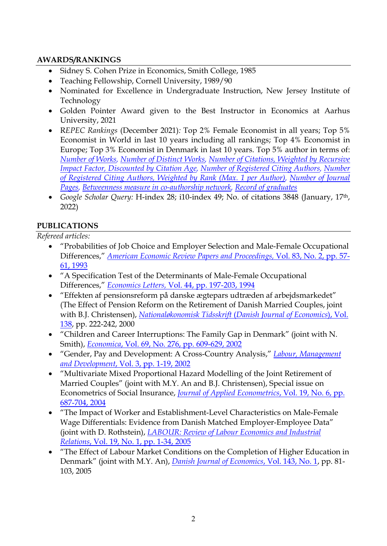## **AWARDS/RANKINGS**

- Sidney S. Cohen Prize in Economics, Smith College, 1985
- Teaching Fellowship, Cornell University, 1989/90
- Nominated for Excellence in Undergraduate Instruction, New Jersey Institute of Technology
- Golden Pointer Award given to the Best Instructor in Economics at Aarhus University, 2021
- R*EPEC Rankings* (December 2021)*:* Top 2% Female Economist in all years; Top 5% Economist in World in last 10 years including all rankings; Top 4% Economist in Europe; Top 3% Economist in Denmark in last 10 years. Top 5% author in terms of: *[Number of Works,](https://ideas.repec.org/top/top.person.nbworks.html#pda42) [Number of Distinct Works,](https://ideas.repec.org/top/top.person.dnbworks.html#pda42) [Number of Citations, Weighted by Recursive](https://ideas.repec.org/top/top.person.wdsccites.html#pda42)  [Impact Factor, Discounted by Citation Age,](https://ideas.repec.org/top/top.person.wdsccites.html#pda42) [Number of Registered Citing Authors,](https://ideas.repec.org/top/top.person.ncauthors.html#pda42) [Number](https://ideas.repec.org/top/top.person.rcauthors.html#pda42)  [of Registered Citing Authors, Weighted by Rank \(Max. 1 per Author\),](https://ideas.repec.org/top/top.person.rcauthors.html#pda42) [Number of Journal](https://ideas.repec.org/top/top.person.nbpages.html#pda42)  [Pages,](https://ideas.repec.org/top/top.person.nbpages.html#pda42) [Betweenness measure in co-authorship network,](https://ideas.repec.org/top/top.person.betweenn.html#pda42) [Record of graduates](https://ideas.repec.org/top/top.person.students.html#pda42)*
- *Google Scholar Query:* H-index 28; i10-index 49; No. of citations 3848 (January, 17th, 2022)

#### **PUBLICATIONS**

*Refereed articles:* 

- "Probabilities of Job Choice and Employer Selection and Male-Female Occupational Differences," *[American Economic Review Papers and Proceedings,](https://pure.au.dk/portal/files/212743230/2117640.pdf)* Vol. 83, No. 2, pp. 57- [61, 1993](https://pure.au.dk/portal/files/212743230/2117640.pdf)
- "A Specification Test of the Determinants of Male-Female Occupational Differences," *Economics Letters,* [Vol. 44, pp. 197-203, 1994](https://doi.org/10.1016/0165-1765(93)00303-6)
- "Effekten af pensionsreform på danske ægtepars udtræden af arbejdsmarkedet" (The Effect of Pension Reform on the Retirement of Danish Married Couples, joint with B.J. Christensen), *[Nationaløkonomisk Tidsskrift](https://www.djoef-forlag.dk/publications/noet/files/2000/2000.pdf)* (*Danish Journal of Economics*), Vol. [138,](https://www.djoef-forlag.dk/publications/noet/files/2000/2000.pdf) pp. 222-242, 2000
- "Children and Career Interruptions: The Family Gap in Denmark" (joint with N. Smith), *Economica*[, Vol. 69, No. 276, pp. 609-629, 2002](https://www.jstor.org/stable/pdf/3549018.pdf?refreqid=excelsior%3Ac06053276a225cb646afe65999298fbc)
- "Gender, Pay and Development: A Cross-Country Analysis," *[Labour, Management](https://pure.au.dk/portal/files/212745360/156615525.pdf)  and Development*[, Vol. 3, pp. 1-19, 2002](https://pure.au.dk/portal/files/212745360/156615525.pdf)
- "Multivariate Mixed Proportional Hazard Modelling of the Joint Retirement of Married Couples" (joint with M.Y. An and B.J. Christensen), Special issue on Econometrics of Social Insurance, *[Journal of Applied Econometrics](https://onlinelibrary.wiley.com/doi/epdf/10.1002/jae.783)*, Vol. 19, No. 6, pp. [687-704, 2004](https://onlinelibrary.wiley.com/doi/epdf/10.1002/jae.783)
- "The Impact of Worker and Establishment-Level Characteristics on Male-Female Wage Differentials: Evidence from Danish Matched Employer-Employee Data" (joint with D. Rothstein), *[LABOUR: Review of Labour Economics and Industrial](https://onlinelibrary.wiley.com/doi/epdf/10.1111/j.1467-9914.2005.00289.x)  Relations*[, Vol. 19, No. 1, pp. 1-34, 2005](https://onlinelibrary.wiley.com/doi/epdf/10.1111/j.1467-9914.2005.00289.x)
- "The Effect of Labour Market Conditions on the Completion of Higher Education in Denmark" (joint with M.Y. An), *[Danish Journal of Economics](https://www.djoef-forlag.dk/publications/noet/files/2005/2005.pdf)*, Vol. 143, No. 1, pp. 81- 103, 2005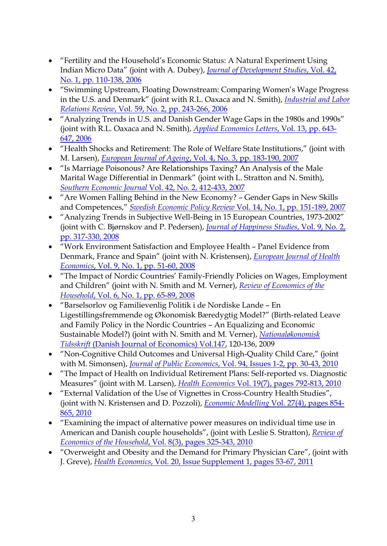- "Fertility and the Household's Economic Status: A Natural Experiment Using Indian Micro Data" (joint with A. Dubey), *[Journal of Development Studies](https://doi.org/10.1080/00220380500356779)*, Vol. 42, [No. 1, pp. 110-138, 2006](https://doi.org/10.1080/00220380500356779)
- "Swimming Upstream, Floating Downstream: Comparing Women's Wage Progress in the U.S. and Denmark" (joint with R.L. Oaxaca and N. Smith), *[Industrial and Labor](https://www.jstor.org/stable/pdf/25067519.pdf)  Relations Review*[, Vol. 59, No. 2, pp. 243-266, 2006](https://www.jstor.org/stable/pdf/25067519.pdf)
- "Analyzing Trends in U.S. and Danish Gender Wage Gaps in the 1980s and 1990s" (joint with R.L. Oaxaca and N. Smith), *[Applied Economics Letters](https://doi.org/10.1080/13504850600684825)*, Vol. 13, pp. 643- [647, 2006](https://doi.org/10.1080/13504850600684825)
- "Health Shocks and Retirement: The Role of Welfare State Institutions," (joint with M. Larsen), *European Journal of Ageing*[, Vol. 4, No. 3, pp. 183-190, 2007](https://www.ncbi.nlm.nih.gov/pmc/articles/PMC5546283/)
- "Is Marriage Poisonous? Are Relationships Taxing? An Analysis of the Male Marital Wage Differential in Denmark" (joint with L. Stratton and N. Smith), *Southern Economic Journal* [Vol. 42, No. 2, 412-433, 2007](https://www.jstor.org/stable/pdf/20111975.pdf)
- "Are Women Falling Behind in the New Economy? Gender Gaps in New Skills and Competences," *Swedish Economic Policy Review* [Vol. 14, No. 1, pp. 151-189, 2007](https://www.government.se/49b738/contentassets/6310cf0f5c5049c6b0ee15d1cfc49b74/nabanita-datta-gupta-are-women-falling-behind-in-the-new-economy-gender-gaps-in-new-skills-and-competencies)
- "Analyzing Trends in Subjective Well-Being in 15 European Countries, 1973-2002" (joint with C. Bjørnskov and P. Pedersen), *[Journal of Happiness Studies](https://link.springer.com/content/pdf/10.1007/s10902-007-9055-4.pdf)*, Vol. 9, No. 2, [pp. 317-330, 2008](https://link.springer.com/content/pdf/10.1007/s10902-007-9055-4.pdf)
- "Work Environment Satisfaction and Employee Health Panel Evidence from Denmark, France and Spain" (joint with N. Kristensen), *[European Journal of Health](https://link.springer.com/content/pdf/10.1007/s10198-007-0037-6.pdf)  Economics*, [Vol. 9, No. 1, pp. 51-60, 2008](https://link.springer.com/content/pdf/10.1007/s10198-007-0037-6.pdf)
- "The Impact of Nordic Countries' Family-Friendly Policies on Wages, Employment and Children" (joint with N. Smith and M. Verner), *[Review of Economics of](https://link.springer.com/content/pdf/10.1007/s11150-007-9023-0.pdf) the Household*, [Vol. 6, No. 1, pp. 65-89, 2008](https://link.springer.com/content/pdf/10.1007/s11150-007-9023-0.pdf)
- "Barselsorlov og Familievenlig Politik i de Nordiske Lande En Ligestillingsfremmende og Økonomisk Bæredygtig Model?" (Birth-related Leave and Family Policy in the Nordic Countries – An Equalizing and Economic Sustainable Model?) (joint with N. Smith and M. Verner), *[Nationaløkonomisk](https://www.djoef-forlag.dk/publications/noet/files/2009/2009.pdf)  Tidsskrift* [\(Danish Journal of Economics\) Vol.147,](https://www.djoef-forlag.dk/publications/noet/files/2009/2009.pdf) 120-136, 2009
- "Non-Cognitive Child Outcomes and Universal High-Quality Child Care," (joint with M. Simonsen), *Journal of Public Economics*[, Vol. 94, Issues 1-2, pp. 30-43, 2010](https://www.sciencedirect.com/science/article/pii/S0047272709001169?via%3Dihub)
- "The Impact of Health on Individual Retirement Plans: Self-reported vs. Diagnostic Measures" (joint with M. Larsen), *Health Economics* [Vol. 19\(7\), pages 792-813, 2010](https://onlinelibrary.wiley.com/doi/epdf/10.1002/hec.1523)
- "External Validation of the Use of Vignettes in Cross-Country Health Studies", (joint with N. Kristensen and D. Pozzoli), *Economic Modelling* [Vol. 27\(4\), pages 854-](https://www.sciencedirect.com/science/article/pii/S0264999309001977?via%3Dihub) [865, 2010](https://www.sciencedirect.com/science/article/pii/S0264999309001977?via%3Dihub)
- ["Examining the impact of alternative power measures on individual time use in](http://www.springerlink.com/content/fk52615375kq3184/?p=392e105f032842099ccd34337e67d393&pi=14)  [American and Danish couple households"](http://www.springerlink.com/content/fk52615375kq3184/?p=392e105f032842099ccd34337e67d393&pi=14), (joint with [Leslie S. Stratton\)](http://www.springerlink.com/content/?Author=Leslie+S.+Stratton), *[Review of](https://link.springer.com/content/pdf/10.1007/s11150-009-9073-6.pdf)  Economics of the Household*[, Vol. 8\(3\), pages 325-343, 2010](https://link.springer.com/content/pdf/10.1007/s11150-009-9073-6.pdf)
- "Overweight and Obesity and the Demand for Primary Physician Care", (joint with J. Greve), *Health Economics*[, Vol. 20, Issue Supplement 1, pages 53-67, 2011](https://onlinelibrary.wiley.com/doi/epdf/10.1002/hec.1711)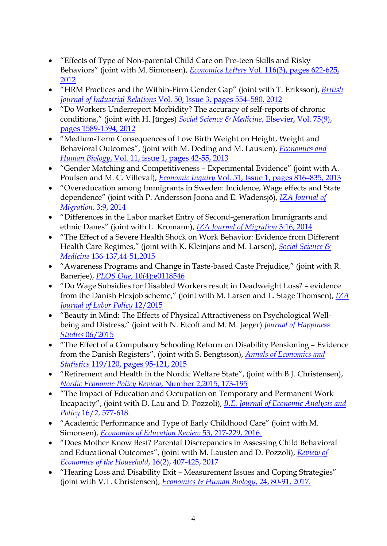- "Effects of Type of Non-parental Child Care on Pre-teen Skills and Risky Behaviors" (joint with M. Simonsen), *Economics Letters* [Vol. 116\(3\), pages 622-625,](https://doi.org/10.1016/j.econlet.2012.06.020)  [2012](https://doi.org/10.1016/j.econlet.2012.06.020)
- ["HRM Practices and the Within-Firm Gender Gap"](http://www.hha.dk/nat/wper/04-18_ndgte.pdf) (joint with T. Eriksson), *[British](https://onlinelibrary.wiley.com/doi/epdf/10.1111/j.1467-8543.2011.00863.x)  Journal of Industrial Relations* [Vol. 50, Issue 3, pages 554–580, 2012](https://onlinelibrary.wiley.com/doi/epdf/10.1111/j.1467-8543.2011.00863.x)
- ["Do Workers Underreport Morbidity? The accuracy of self-reports of chronic](http://ideas.repec.org/a/eee/socmed/v75y2012i9p1589-1594.html)  [conditions,](http://ideas.repec.org/a/eee/socmed/v75y2012i9p1589-1594.html)" (joint with H. Jürges) *[Social Science & Medicine](https://doi.org/10.1016/j.socscimed.2012.07.013)*, Elsevier, Vol. 75(9), [pages 1589-1594, 2012](https://doi.org/10.1016/j.socscimed.2012.07.013)
- "Medium-Term Consequences of Low Birth Weight on Height, Weight and Behavioral Outcomes", (joint with M. Deding and M. Lausten), *[Economics and](https://doi.org/10.1016/j.ehb.2011.06.002)  Human Biology*[, Vol. 11, issue 1, pages 42-55, 2013](https://doi.org/10.1016/j.ehb.2011.06.002)
- "Gender Matching and Competitiveness Experimental Evidence" (joint with A. Poulsen and M. C. Villeval), *Economic Inquiry* [Vol. 51, Issue 1, pages 816–835, 2013](https://onlinelibrary.wiley.com/doi/epdf/10.1111/j.1465-7295.2011.00378.x)
- "Overeducation among Immigrants in Sweden: Incidence, Wage effects and State dependence" (joint with P. Andersson Joona and E. Wadensjö), *[IZA Journal of](https://izajodm.springeropen.com/articles/10.1186/2193-9039-3-9)  Migration*[, 3:9, 2014](https://izajodm.springeropen.com/articles/10.1186/2193-9039-3-9)
- "Differences in the Labor market Entry of Second-generation Immigrants and ethnic Danes" (joint with L. Kromann), *[IZA Journal of Migration](https://izajodm.springeropen.com/track/pdf/10.1186/s40176-014-0016-5.pdf)* 3:16, 2014
- "The Effect of a Severe [Health Shock on Work Behavior: Evidence from Different](http://ideas.repec.org/p/iza/izadps/dp5843.html)  [Health Care Regimes,](http://ideas.repec.org/p/iza/izadps/dp5843.html)" (joint with K. Kleinjans and M. Larsen), *[Social Science &](https://doi.org/10.1016/j.socscimed.2015.05.008)  Medicine* [136-137,44-51,2015](https://doi.org/10.1016/j.socscimed.2015.05.008)
- ["Awareness Programs and Change in Taste-based Caste Prejudice,](https://ideas.repec.org/p/aah/aarhec/2014-19.html)" (joint with R. Banerjee), *PLOS One*[, 10\(4\):e0118546](https://pure.au.dk/portal/files/108252072/Awareness_Programs_and_Change_in_Taste_based_Caste_Prejudice.PDF)
- ["Do Wage Subsidies for Disabled Workers result in Deadweight Loss? –](https://ideas.repec.org/p/aah/aarhec/2013-24.html) evidence [from the Danish Flexjob scheme,](https://ideas.repec.org/p/aah/aarhec/2013-24.html)" (joint with M. Larsen and L. Stage Thomsen), *[IZA](https://pure.au.dk/portal/files/213681434/s40173_015_0036_7.pdf)  [Journal of Labor Policy](https://pure.au.dk/portal/files/213681434/s40173_015_0036_7.pdf)* 12/2015
- "Beauty in Mind: The Effects of Physical Attractiveness on Psychological Wellbeing and Distress," (joint with N. Etcoff and M. M. Jæger) *[Journal of Happiness](https://link.springer.com/content/pdf/10.1007/s10902-015-9644-6.pdf)  Studies* [06/2015](https://link.springer.com/content/pdf/10.1007/s10902-015-9644-6.pdf)
- "The Effect of a Compulsory Schooling Reform on Disability Pensioning Evidence from the Danish Registers", (joint with S. Bengtsson), *[Annals of Economics and](https://www.jstor.org/stable/pdf/10.15609/annaeconstat2009.119-120.95.pdf?refreqid=excelsior%3A3618b7e50eb2aff47e89b1bbcf811503)  Statistics* [119/120, pages 95-121,](https://www.jstor.org/stable/pdf/10.15609/annaeconstat2009.119-120.95.pdf?refreqid=excelsior%3A3618b7e50eb2aff47e89b1bbcf811503) 2015
- "Retirement and Health in the Nordic Welfare State", (joint with B.J. Christensen), *[Nordic Economic Policy Review](http://norden.diva-portal.org/smash/get/diva2:901771/FULLTEXT02.pdf)*, Number 2,2015, 173-195
- "The Impact of Education and Occupation on Temporary and Permanent Work Incapacity", (joint with D. Lau and D. Pozzoli), *[B.E. Journal of Economic Analysis and](https://pure.au.dk/portal/files/121830502/The_Impact_of_Education_and_Occupation_on_Temporary_and_Permanent_Work_Incapacity_VOR16.pdf)  Policy* [16/2, 577-618.](https://pure.au.dk/portal/files/121830502/The_Impact_of_Education_and_Occupation_on_Temporary_and_Permanent_Work_Incapacity_VOR16.pdf)
- "Academic Performance and Type of Early Childhood Care" (joint with M. Simonsen), *[Economics of Education Review](https://doi.org/10.1016/j.econedurev.2016.03.013)* 53, 217-229, 2016.
- "Does Mother Know Best? Parental Discrepancies in Assessing Child Behavioral and Educational Outcomes", (joint with M. Lausten and D. Pozzoli), *[Review of](https://pure.au.dk/portal/files/172005086/Gupta_2018_Does_mother_know_best.pdf)  [Economics of the Household](https://pure.au.dk/portal/files/172005086/Gupta_2018_Does_mother_know_best.pdf)*, 16(2), 407-425, 2017
- "Hearing Loss and Disability Exit Measurement Issues and Coping Strategies" (joint with V.T. Christensen), *[Economics & Human Biology](https://doi.org/10.1016/j.ehb.2016.11.006)*, 24, 80-91, 2017.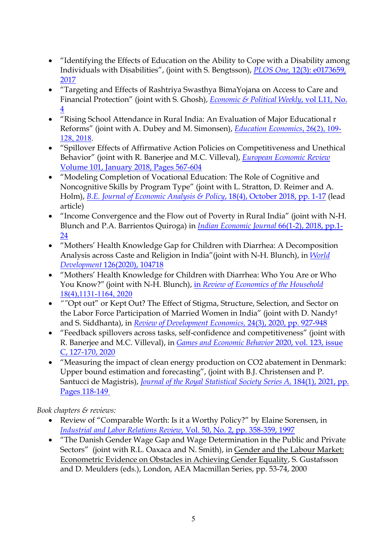- "Identifying the Effects of Education on the Ability to Cope with a Disability among Individuals with Disabilities", (joint with S. Bengtsson), *PLOS One,* [12\(3\): e0173659](https://pure.au.dk/portal/files/120730744/journal.pone.0173659_VOR17.pdf)*,*  [2017](https://pure.au.dk/portal/files/120730744/journal.pone.0173659_VOR17.pdf)
- "Targeting and Effects of Rashtriya Swasthya BimaYojana on Access to Care and Financial Protection" (joint with S. Ghosh), *[Economic & Political Weekly](https://www.epw.in/journal/2017/4/special-articles/targeting-and-effects-rashtriya-swasthya-bima-yojana-access-care-and)*, vol L11, No. [4](https://www.epw.in/journal/2017/4/special-articles/targeting-and-effects-rashtriya-swasthya-bima-yojana-access-care-and)
- "Rising School Attendance in Rural India: An Evaluation of Major Educational r Reforms" (joint with A. Dubey and M. Simonsen), *[Education Economics](https://pure.au.dk/ws/files/172006070/Gupta_2018_Rising_school_attendance_in_rural_india.pdf)*, 26(2), 109- [128, 2018.](https://pure.au.dk/ws/files/172006070/Gupta_2018_Rising_school_attendance_in_rural_india.pdf)
- "Spillover Effects of Affirmative Action Policies on Competitiveness and Unethical Behavior" (joint with R. Banerjee and M.C. Villeval), *[European Economic Review](https://pure.au.dk/ws/files/172007011/Banerjee_2018_The_spillover_effects_of_affirmative_action.pdf)* [Volume 101, January 2018, Pages 567-604](https://pure.au.dk/ws/files/172007011/Banerjee_2018_The_spillover_effects_of_affirmative_action.pdf)
- "Modeling Completion of Vocational Education: The Role of Cognitive and Noncognitive Skills by Program Type" (joint with L. Stratton, D. Reimer and A. Holm), *[B.E. Journal of Economic Analysis & Policy](https://doi.org/10.1515/bejeap-2017-0173)*, 18(4), October 2018, pp. 1-17 (lead article)
- "Income Convergence and the Flow out of Poverty in Rural India" (joint with N-H. Blunch and P.A. Barrientos Quiroga) in *[Indian Economic Journal](https://journals.sagepub.com/doi/pdf/10.1177/0019466218810035)* 66(1-2), 2018, pp.1- [24](https://journals.sagepub.com/doi/pdf/10.1177/0019466218810035)
- "Mothers' Health Knowledge Gap for Children with Diarrhea: A Decomposition Analysis across Caste and Religion in India"(joint with N-H. Blunch), in *[World](https://doi.org/10.1016/j.worlddev.2019.104718)  [Development](https://doi.org/10.1016/j.worlddev.2019.104718)* 126(2020), 104718
- "Mothers' Health Knowledge for Children with Diarrhea: Who You Are or Who You Know?" (joint with N-H. Blunch), in *[Review of Economics of the Household](https://link.springer.com/content/pdf/10.1007/s11150-020-09478-y.pdf)* [18\(4\),1131-1164, 2020](https://link.springer.com/content/pdf/10.1007/s11150-020-09478-y.pdf)
- *""*Opt out" or Kept Out? The Effect of Stigma, Structure, Selection, and Sector on the Labor Force Participation of Married Women in India" (joint with D. Nandy† and S. Siddhanta), in *[Review of Development Economics,](https://doi.org/10.1111/rode.12672)* 24(3), 2020, pp. 927-948
- "Feedback spillovers across tasks, self-confidence and competitiveness" (joint with R. Banerjee and M.C. Villeval), in *[Games and Economic Behavior](https://onlinelibrary.wiley.com/doi/epdf/10.1111/rode.12672)* 2020, vol. 123, issue [C, 127-170, 2020](https://onlinelibrary.wiley.com/doi/epdf/10.1111/rode.12672)
- "Measuring the impact of clean energy production on CO2 abatement in Denmark: Upper bound estimation and forecasting", (joint with B.J. Christensen and P. Santucci de Magistris), *Journal of the Royal Statistical Society Series A*, 184(1), 2021, pp. [Pages 118-149](https://rss.onlinelibrary.wiley.com/doi/epdf/10.1111/rssa.12616)

*Book chapters & reviews:*

- Review of "Comparable Worth: Is it a Worthy Policy?" by Elaine Sorensen, in *[Industrial and Labor Relations Review,](https://www.jstor.org/stable/pdf/2525103.pdf)* Vol. 50, No. 2, pp. 358-359, 1997
- "The Danish Gender Wage Gap and Wage Determination in the Public and Private Sectors" (joint with R.L. Oaxaca and N. Smith), in Gender and the Labour Market: Econometric Evidence on Obstacles in Achieving Gender Equality, S. Gustafsson and D. Meulders (eds.), London, AEA Macmillan Series, pp. 53-74, 2000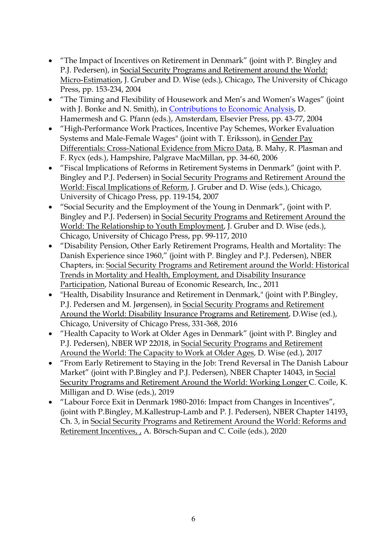- "The Impact of Incentives on Retirement in Denmark" (joint with P. Bingley and P.J. Pedersen), in Social Security Programs and Retirement around the World: Micro-Estimation, J. Gruber and D. Wise (eds.), Chicago, The University of Chicago Press, pp. 153-234, 2004
- "The Timing and Flexibility of Housework and Men's and Women's Wages" (joint with J. Bonke and N. Smith), in [Contributions to Economic Analysis,](https://doi.org/10.1016/S0573-8555(04)71003-2) D. Hamermesh and G. Pfann (eds.), Amsterdam, Elsevier Press, pp. 43-77, 2004
- "High-Performance Work Practices, Incentive Pay Schemes, Worker Evaluation Systems and Male-Female Wages" (joint with T. Eriksson), in Gender Pay Differentials: Cross-National Evidence from Micro Data, B. Mahy, R. Plasman and F. Rycx (eds.), Hampshire, Palgrave MacMillan, pp. 34-60, 2006
- "Fiscal Implications of Reforms in Retirement Systems in Denmark" (joint with P. Bingley and P.J. Pedersen) in Social Security Programs and Retirement Around the World: Fiscal Implications of Reform, J. Gruber and D. Wise (eds.), Chicago, University of Chicago Press, pp. 119-154, 2007
- "Social Security and the Employment of the Young in Denmark", (joint with P. Bingley and P.J. Pedersen) in Social Security Programs and Retirement Around the World: The Relationship to Youth Employment, J. Gruber and D. Wise (eds.), Chicago, University of Chicago Press, pp. 99-117, 2010
- "Disability Pension, Other Early Retirement Programs, Health and Mortality: The Danish Experience since 1960," (joint with P. Bingley and P.J. Pedersen), NBER Chapters, in: Social Security Programs and Retirement around the World: Historical Trends in Mortality and Health, Employment, and Disability Insurance Participation, National Bureau of Economic Research, Inc., 2011
- ["Health, Disability Insurance and Retirement in Denmark,](https://ideas.repec.org/p/nbr/nberwo/20114.html)" (joint with P.Bingley, P.J. Pedersen and M. Jørgensen), in Social Security Programs and Retirement Around the World: Disability Insurance Programs and Retirement, D.Wise (ed.), Chicago, University of Chicago Press, 331-368, 2016
- "Health Capacity to Work at Older Ages in Denmark" (joint with P. Bingley and P.J. Pedersen), NBER WP 22018, in Social Security Programs and Retirement Around the World: The Capacity to Work at Older Ages, D. Wise (ed.), 2017
- "From Early Retirement to Staying in the Job: Trend Reversal in The Danish Labour Market" (joint with P.Bingley and P.J. Pedersen), NBER Chapter 14043, in Social Security Programs and Retirement Around the World: Working Longer C. Coile, K. Milligan and D. Wise (eds.), 2019
- "Labour Force Exit in Denmark 1980-2016: Impact from Changes in Incentives", (joint with P.Bingley, M.Kallestrup-Lamb and P. J. Pedersen), NBER Chapter 14193, Ch. 3, in Social Security Programs and Retirement Around the World: Reforms and Retirement Incentives, , A. Börsch-Supan and C. Coile (eds.), 2020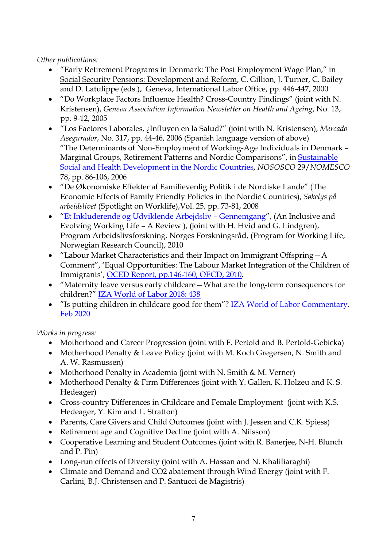# *Other publications:*

- "Early Retirement Programs in Denmark: The Post Employment Wage Plan," in Social Security Pensions: Development and Reform, C. Gillion, J. Turner, C. Bailey and D. Latulippe (eds.), Geneva, International Labor Office, pp. 446-447, 2000
- "Do Workplace Factors Influence Health? Cross-Country Findings" (joint with N. Kristensen), *Geneva Association Information Newsletter on Health and Ageing*, No. 13, pp. 9-12, 2005
- "Los Factores Laborales, ¿Influyen en la Salud?" (joint with N. Kristensen), *Mercado Asegurador*, No. 317, pp. 44-46, 2006 (Spanish language version of above) "The Determinants of Non-Employment of Working-Age Individuals in Denmark – Marginal Groups, Retirement Patterns and Nordic Comparisons", in [Sustainable](http://norden.diva-portal.org/smash/get/diva2:968699/FULLTEXT01.pdf)  [Social and Health Development in the Nordic Countries,](http://norden.diva-portal.org/smash/get/diva2:968699/FULLTEXT01.pdf) *NOSOSCO* 29/*NOMESCO* 78, pp. 86-106, 2006
- "De Økonomiske Effekter af Familievenlig Politik i de Nordiske Lande" (The Economic Effects of Family Friendly Policies in the Nordic Countries), *Søkelys på arbeidslivet* (Spotlight on Worklife),Vol. 25, pp. 73-81, 2008
- ["Et Inkluderende og Udviklende Arbejdsliv –](https://www.forskningsradet.no/siteassets/publikasjoner/1253953628547.pdf) Gennemgang", (An Inclusive and Evolving Working Life – A Review ), (joint with H. Hvid and G. Lindgren), Program Arbeidslivsforskning, Norges Forskningsråd, (Program for Working Life, Norwegian Research Council), 2010
- "Labour Market Characteristics and their Impact on Immigrant Offspring—A Comment", 'Equal Opportunities: The Labour Market Integration of the Children of Immigrants', [OCED Report, pp.146-160, OECD, 2010.](https://doi.org/10.1787/9789264086395-en)
- "Maternity leave versus early childcare—What are the long-term consequences for children?" [IZA World of Labor 2018: 438](https://wol.iza.org/articles/maternity-leave-versus-early-childcare-what-are-the-long-term-consequences-for-children/long)
- "Is putting children in childcare good for them"? [IZA World of Labor Commentary,](https://wol.iza.org/opinions/is-putting-children-in-childcare-good-for-them)  [Feb 2020](https://wol.iza.org/opinions/is-putting-children-in-childcare-good-for-them)

*Works in progress:*

- Motherhood and Career Progression (joint with F. Pertold and B. Pertold-Gebicka)
- Motherhood Penalty & Leave Policy (joint with M. Koch Gregersen, N. Smith and A. W. Rasmussen)
- Motherhood Penalty in Academia (joint with N. Smith & M. Verner)
- Motherhood Penalty & Firm Differences (joint with Y. Gallen, K. Holzeu and K. S. Hedeager)
- Cross-country Differences in Childcare and Female Employment (joint with K.S. Hedeager, Y. Kim and L. Stratton)
- Parents, Care Givers and Child Outcomes (joint with J. Jessen and C.K. Spiess)
- Retirement age and Cognitive Decline (joint with A. Nilsson)
- Cooperative Learning and Student Outcomes (joint with R. Banerjee, N-H. Blunch and P. Pin)
- Long-run effects of Diversity (joint with A. Hassan and N. Khaliliaraghi)
- Climate and Demand and CO2 abatement through Wind Energy (joint with F. Carlini, B.J. Christensen and P. Santucci de Magistris)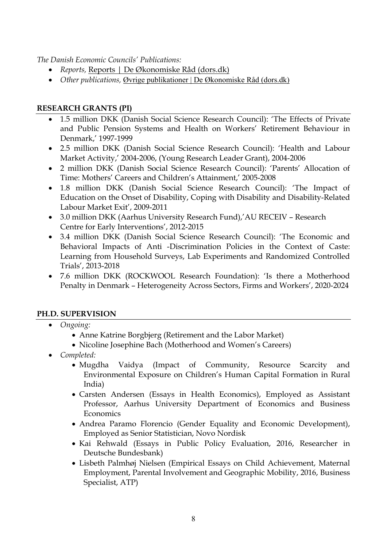*The Danish Economic Councils' Publications:* 

- *Reports,* [Reports | De Økonomiske Råd \(dors.dk\)](https://dors.dk/english/list-of-reports)
- *Other publications,* [Øvrige publikationer | De Økonomiske Råd \(dors.dk\)](https://dors.dk/oevrige-publikationer)

### **RESEARCH GRANTS (PI)**

- 1.5 million DKK (Danish Social Science Research Council): 'The Effects of Private and Public Pension Systems and Health on Workers' Retirement Behaviour in Denmark,' 1997-1999
- 2.5 million DKK (Danish Social Science Research Council): 'Health and Labour Market Activity,' 2004-2006, (Young Research Leader Grant), 2004-2006
- 2 million DKK (Danish Social Science Research Council): 'Parents' Allocation of Time: Mothers' Careers and Children's Attainment,' 2005-2008
- 1.8 million DKK (Danish Social Science Research Council): 'The Impact of Education on the Onset of Disability, Coping with Disability and Disability-Related Labour Market Exit', 2009-2011
- 3.0 million DKK (Aarhus University Research Fund),'AU RECEIV Research Centre for Early Interventions', 2012-2015
- 3.4 million DKK (Danish Social Science Research Council): 'The Economic and Behavioral Impacts of Anti -Discrimination Policies in the Context of Caste: Learning from Household Surveys, Lab Experiments and Randomized Controlled Trials', 2013-2018
- 7.6 million DKK (ROCKWOOL Research Foundation): 'Is there a Motherhood Penalty in Denmark – Heterogeneity Across Sectors, Firms and Workers', 2020-2024

#### **PH.D. SUPERVISION**

- *Ongoing:*
	- Anne Katrine Borgbjerg (Retirement and the Labor Market)
	- Nicoline Josephine Bach (Motherhood and Women's Careers)
- *Completed:*
	- Mugdha Vaidya (Impact of Community, Resource Scarcity and Environmental Exposure on Children's Human Capital Formation in Rural India)
	- Carsten Andersen (Essays in Health Economics), Employed as Assistant Professor, Aarhus University Department of Economics and Business **Economics**
	- Andrea Paramo Florencio (Gender Equality and Economic Development), Employed as Senior Statistician, Novo Nordisk
	- Kai Rehwald (Essays in Public Policy Evaluation, 2016, Researcher in Deutsche Bundesbank)
	- Lisbeth Palmhøj Nielsen (Empirical Essays on Child Achievement, Maternal Employment, Parental Involvement and Geographic Mobility, 2016, Business Specialist, ATP)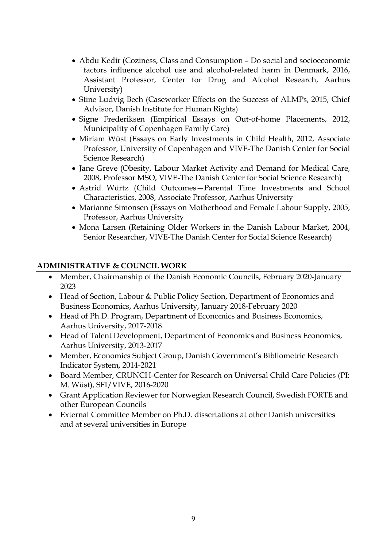- Abdu Kedir (Coziness, Class and Consumption Do social and socioeconomic factors influence alcohol use and alcohol-related harm in Denmark, 2016, Assistant Professor, Center for Drug and Alcohol Research, Aarhus University)
- Stine Ludvig Bech (Caseworker Effects on the Success of ALMPs, 2015, Chief Advisor, Danish Institute for Human Rights)
- Signe Frederiksen (Empirical Essays on Out-of-home Placements, 2012, Municipality of Copenhagen Family Care)
- Miriam Wüst (Essays on Early Investments in Child Health, 2012, Associate Professor, University of Copenhagen and VIVE-The Danish Center for Social Science Research)
- Jane Greve (Obesity, Labour Market Activity and Demand for Medical Care, 2008, Professor MSO, VIVE-The Danish Center for Social Science Research)
- Astrid Würtz (Child Outcomes—Parental Time Investments and School Characteristics, 2008, Associate Professor, Aarhus University
- Marianne Simonsen (Essays on Motherhood and Female Labour Supply, 2005, Professor, Aarhus University
- Mona Larsen (Retaining Older Workers in the Danish Labour Market, 2004, Senior Researcher, VIVE-The Danish Center for Social Science Research)

#### **ADMINISTRATIVE & COUNCIL WORK**

- Member, Chairmanship of the Danish Economic Councils, February 2020-January 2023
- Head of Section, Labour & Public Policy Section, Department of Economics and Business Economics, Aarhus University, January 2018-February 2020
- Head of Ph.D. Program, Department of Economics and Business Economics, Aarhus University, 2017-2018.
- Head of Talent Development, Department of Economics and Business Economics, Aarhus University, 2013-2017
- Member, Economics Subject Group, Danish Government's Bibliometric Research Indicator System, 2014-2021
- Board Member, CRUNCH-Center for Research on Universal Child Care Policies (PI: M. Wüst), SFI/VIVE, 2016-2020
- Grant Application Reviewer for Norwegian Research Council, Swedish FORTE and other European Councils
- External Committee Member on Ph.D. dissertations at other Danish universities and at several universities in Europe